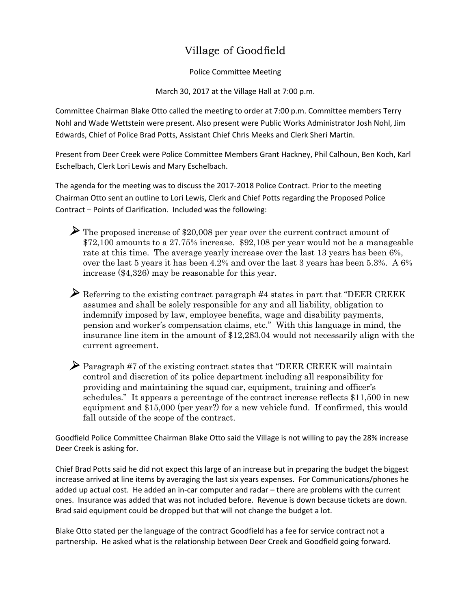## Village of Goodfield

Police Committee Meeting

March 30, 2017 at the Village Hall at 7:00 p.m.

Committee Chairman Blake Otto called the meeting to order at 7:00 p.m. Committee members Terry Nohl and Wade Wettstein were present. Also present were Public Works Administrator Josh Nohl, Jim Edwards, Chief of Police Brad Potts, Assistant Chief Chris Meeks and Clerk Sheri Martin.

Present from Deer Creek were Police Committee Members Grant Hackney, Phil Calhoun, Ben Koch, Karl Eschelbach, Clerk Lori Lewis and Mary Eschelbach.

The agenda for the meeting was to discuss the 2017-2018 Police Contract. Prior to the meeting Chairman Otto sent an outline to Lori Lewis, Clerk and Chief Potts regarding the Proposed Police Contract – Points of Clarification. Included was the following:

 The proposed increase of \$20,008 per year over the current contract amount of \$72,100 amounts to a 27.75% increase. \$92,108 per year would not be a manageable rate at this time. The average yearly increase over the last 13 years has been 6%, over the last 5 years it has been 4.2% and over the last 3 years has been 5.3%. A 6% increase (\$4,326) may be reasonable for this year.

 $\triangleright$  Referring to the existing contract paragraph #4 states in part that "DEER CREEK" assumes and shall be solely responsible for any and all liability, obligation to indemnify imposed by law, employee benefits, wage and disability payments, pension and worker's compensation claims, etc." With this language in mind, the insurance line item in the amount of \$12,283.04 would not necessarily align with the current agreement.

 Paragraph #7 of the existing contract states that "DEER CREEK will maintain control and discretion of its police department including all responsibility for providing and maintaining the squad car, equipment, training and officer's schedules." It appears a percentage of the contract increase reflects \$11,500 in new equipment and \$15,000 (per year?) for a new vehicle fund. If confirmed, this would fall outside of the scope of the contract.

Goodfield Police Committee Chairman Blake Otto said the Village is not willing to pay the 28% increase Deer Creek is asking for.

Chief Brad Potts said he did not expect this large of an increase but in preparing the budget the biggest increase arrived at line items by averaging the last six years expenses. For Communications/phones he added up actual cost. He added an in-car computer and radar – there are problems with the current ones. Insurance was added that was not included before. Revenue is down because tickets are down. Brad said equipment could be dropped but that will not change the budget a lot.

Blake Otto stated per the language of the contract Goodfield has a fee for service contract not a partnership. He asked what is the relationship between Deer Creek and Goodfield going forward.